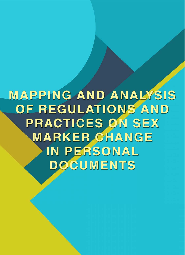# **MAPPING AND ANALYSIS** OF REGULATIONS AND **PRACTICES ON SEX MARKER CHANGE** IN PERSONAL **DOCUMENTS**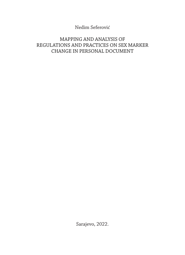Nedim Seferović

#### MAPPING AND ANALYSIS OF REGULATIONS AND PRACTICES ON SEX MARKER CHANGE IN PERSONAL DOCUMENT

Sarajevo, 2022.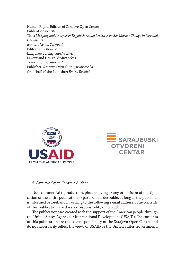Human Rights Edition of Sarajevo Open Center Publication no: 84 Title: *Mapping and Analysis of Regulations and Practices on Sex Marker Change in Personal Documents* Author: *Nedim Seferović* Editor: *Amil Brković* Language Editing: *Sandra Zlotrg* Layout and Design: *Andrej Arkoš* Translation: *Context o.d.* Publisher: *Sarajevo Open Centre, www.soc.ba* On behalf of the Publisher: *Emina Bošnjak*





#### © Sarajevo Open Centre / Author

Non-commercial reproduction, photocopying or any other form of multiplication of the entire publication or parts of it is desirable, as long as the publisher is informed beforehand in writing to the following e-mail address: . The contents of this publication are the sole responsibility of its author.

The publication was created with the support of the American people through the United States Agency for International Development (USAID). The contents of this publication are the sole responsibility of the Sarajevo Open Centre and do not necessarily reflect the views of USAID or the United States Government.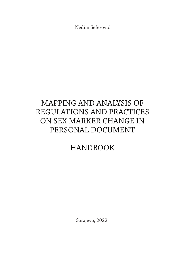Nedim Seferović

## MAPPING AND ANALYSIS OF REGULATIONS AND PRACTICES ON SEX MARKER CHANGE IN PERSONAL DOCUMENT

## HANDBOOK

Sarajevo, 2022.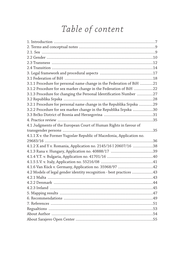## Table of content

| 3.1.1 Procedure for personal name change in the Federation of BiH 21  |     |
|-----------------------------------------------------------------------|-----|
| 3.1.2 Procedure for sex marker change in the Federation of BiH 22     |     |
| 3.1.3 Procedure for changing the Personal Identification Number 27    |     |
|                                                                       |     |
| 3.2.1 Procedure for personal name change in the Republika Srpska 29   |     |
| 3.2.2 Procedure for sex marker change in the Republika Srpska 30      |     |
|                                                                       |     |
|                                                                       |     |
| 4.1 Judgments of the European Court of Human Rights in favour of      |     |
|                                                                       |     |
| 4.1.1 X v. the Former Yugoslav Republic of Macedonia, Application no. |     |
|                                                                       |     |
| 4.1.2 X and Y v. Romania, Application no. 2145/16 I 20607/16 38       |     |
|                                                                       |     |
|                                                                       |     |
|                                                                       |     |
| 4.1.6 Van Kück v. Germany, Application no. 35968/97 42                |     |
| 4.2 Models of legal gender identity recognition - best practices 43   |     |
|                                                                       |     |
| 4.2.2 Denmark                                                         | .44 |
|                                                                       |     |
|                                                                       |     |
|                                                                       |     |
|                                                                       |     |
|                                                                       |     |
|                                                                       |     |
|                                                                       |     |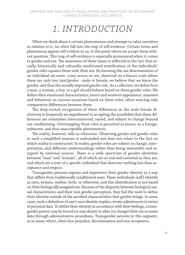## *1. INTRODUCTION*

When we think about a certain phenomenon and attempt to value ourselves in relation to it, we often fall into the trap of self-evidence. Certain terms and phenomena appear self-evident to us, to the point where we accept them without question. This trap of self-evidence is especially pronounced when it comes to gender and sex. The awareness of these issues is reflected in the fact that socially, historically and culturally conditioned stratification of the individuals' gender roles equates them with their sex. By knowing the sex determination of an individual we meet, come across or see, observed on a binary scale where there are only two (anti)podes - male or female, we believe that we know the gender, and thus the socially imposed gender role. As a collective, we define how a man, a woman, a boy, or a girl should behave based on these gender roles. We define their emotional characteristics, men's and women's appearance, manners and behaviour on various occasions based on these roles, often noticing only comparative differences between them.

The deep-rooted recognition of these differences in the male-female dichotomy is frequently an impediment to accepting the possibility that these differences are sometimes interconnected, varied, and subject to change beyond sex conditioning. Overstepping these roles is perceived as excess, as a foreign, unknown, and thus unacceptable phenomenon.

The reality, however, tells us otherwise. Observing gender and gender roles in such a simplified manner is unfounded and does not relate to the fact on which reality is constructed. In reality, gender roles are subject to change, interpretation, and different understandings rather than being immutable and assigned by external sources. There is a wide spectrum of gender identities between "man" and "woman", all of which are as real and essential as they are, and which are a trait of a specific individual that deserves nothing less than acceptance and respect.

Transgender persons express and experience their gender identity in a way that differs from traditionally conditioned ways. These individuals (self) identify as men, women, neither, both, or otherwise, and this identification is not based on their biologically assigned sex. Because of the disparity between biological sexual characteristics and their own gender perception, they feel the need to define their identity outside of the ascribed characteristics that gender brings. In some cases, such a definition of one's own identity implies certain adjustments in terms of personal data. To define their identity in accordance with their feelings, a transgender person may be forced (or may desire) to alter (or change) their sex or name data through administrative procedures. Transgender persons in this segment, as in many others, often face prejudice, discrimination and non-acceptance.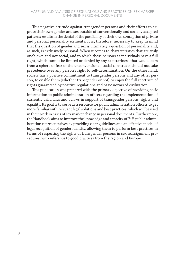#### MAPPING AND ANALYSIS OF REGULATIONS AND PRACTICES ON SEX MARKER CHANGE IN PERSONAL DOCUMENTS

This negative attitude against transgender persons and their efforts to express their own gender and sex outside of conventionally and socially accepted patterns results in the denial of the possibility of their own conception of private and personal personality elements. It is, therefore, necessary to keep in mind that the question of gender and sex is ultimately a question of personality and, as such, is exclusively personal. When it comes to characteristics that are truly one's own and not social, and to which these persons as individuals have a full right, which cannot be limited or denied by any arbitrariness that would stem from a sphere of fear of the unconventional, social constructs should not take precedence over any person's right to self-determination. On the other hand, society has a positive commitment to transgender persons and any other person, to enable them (whether transgender or not) to enjoy the full spectrum of rights guaranteed by positive regulations and basic norms of civilization.

This publication was prepared with the primary objective of providing basic information to public administration officers regarding the implementation of currently valid laws and bylaws in support of transgender persons' rights and equality. Its goal is to serve as a resource for public administration officers to get more familiar with relevant legal solutions and best practices, which will be used in their work in cases of sex marker change in personal documents. Furthermore, the Handbook aims to improve the knowledge and capacity of BiH public administration representatives by providing clear guidelines and an effective model of legal recognition of gender identity, allowing them to perform best practices in terms of respecting the rights of transgender persons in sex reassignment procedures, with reference to good practices from the region and Europe.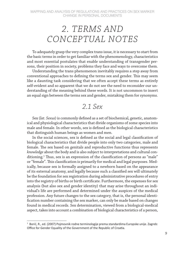## *2. TERMS AND CONCEPTUAL NOTES*

To adequately grasp the very complex trans issue, it is necessary to start from the basic terms in order to get familiar with the phenomenology, characteristics and most essential postulates that enable understanding of transgender persons, their position in society, problems they face and ways to overcome them.

Understanding the trans phenomenon inevitably requires a step away from conventional approaches to defining the terms sex and gender. This may seem like a daunting task considering that we often accept these terms as entirely self-evident and so apparent that we do not see the need to reconsider our understanding of the meaning behind these words. It is not uncommon to insert an equal sign between the terms sex and gender, mistaking them for synonyms.

#### *2.1 Sex*

Sex (*lat. Sexus*) is commonly defined as a set of biochemical, genetic, anatomical and physiological characteristics that divide organisms of some species into male and female. In other words, sex is defined as the biological characteristics that distinguish human beings as women and men.

In the social sciences, sex is defined as the social and legal classification of biological characteristics that divide people into only two categories, male and female. The sex based on genitals and reproductive functions thus represents *knowledge* about the body and is also subject to interpretations and cultural conditioning.<sup>1</sup> Thus, sex is an expression of the classification of persons as "male" or "female". This classification is primarily for medical and legal purposes. Medically, because sex is formally assigned to a newborn based on the appearance of its external anatomy, and legally because such a classified sex will ultimately be the foundation for sex registration during administrative procedures of entry into the registry of births or birth certificate. Furthermore, the expenses for sex analysis (but also sex and gender identity) that may arise throughout an individual's life are performed and determined under the auspices of the medical profession. Any future changes to the sex category, that is, the personal identification number containing the sex marker, can only be made based on changes found in medical records. Sex determination, viewed from a biological-medical aspect, takes into account a combination of biological characteristics of a person,

 $1$  Borić, R., ed. (2007) Pojmovnik rodne terminologije prema standardima Europske unije. Zagreb: Office for Gender Equality of the Government of the Republic of Croatia.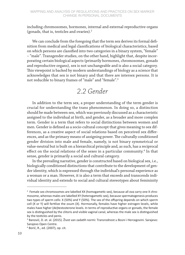including chromosomes, hormones, internal and external reproductive organs (gonads, that is, testicles and ovaries).2

We can conclude from the foregoing that the term sex derives its formal definition from medical and legal classifications of biological characteristics, based on which persons are classified into two categories in a binary system, "female" – "male". Transgender studies, on the other hand, highlight that, despite incorporating certain biological aspects (primarily hormones, chromosomes, gonads and reproductive organs), sex is not unchangeable and is also a social category. This viewpoint is backed by modern understandings of biology as a science that acknowledges that sex is not binary and that there are intersex persons. It is not reducible to binary frames of "male" and "female".3

### *2.2 Gender*

In addition to the term sex, a proper understanding of the term gender is crucial for understanding the trans phenomenon. In doing so, a distinction should be made between sex, which was previously discussed as a characteristic assigned to the individual at birth, and gender, as a broader and more complex term. Gender is a term that refers to social distinctions between women and men. Gender is defined as a socio-cultural concept that gives meaning to sex differences, as a creative aspect of social relations based on perceived sex differences, and as the primary means of assigning power. The culturally conditioned gender division into male and female, namely, is not binary symmetrical or value-neutral but is built on a hierarchical principle and, as such, has a reciprocal effect on the social relations of the sexes in a particular community.<sup>4</sup> In that sense, gender is primarily a social and cultural category.

In the prevailing narrative, gender is constructed based on biological sex, i.e., biologically conditioned distinctions that contribute to the development of gender identity, which is expressed through the individual's personal experience as a woman or a man. However, it is also a term that exceeds and transcends individual identity and extends to social and cultural stereotypes about femininity

<sup>&</sup>lt;sup>2</sup> Female sex chromosomes are labelled XX (homogametic sex), because all ova carry one X chromosome, whereas males are labelled XY (heterogametic sex), because spermatogenesis produces two types of sperm cells: X (50%) and Y (50%). The sex of the offspring depends on which sperm cell (X or Y) will fertilize the ovum (X). Hormonally, females have higher estrogen levels, while males have higher (de)testosterone levels. In terms of reproductive organs or gonads, the female sex is distinguished by the clitoris and visible vaginal canal, whereas the male sex is distinguished by the testicles and penis.

<sup>&</sup>lt;sup>3</sup> Banović, D. et. al. (2015). Život van zadatih normi: Transrodnost u Bosni i Hercegovini. Sarajevo: Sarajevo Open Centre.

<sup>4</sup> Borić, R., ed. (2007), op. cit.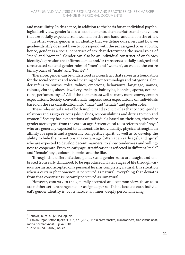and masculinity. In this sense, in addition to the basis for an individual psychological self-view, gender is also a set of elements, characteristics and behaviours that are socially expected from women, on the one hand, and men on the other.

In other words, gender is an identity that we define ourselves, and how we gender-identify does not have to correspond with the sex assigned to us at birth; hence, gender is a social construct of sex that determines the social roles of "men" and "women". Gender can also be an individual construct of one's own identity/expression that affirms, denies and/or transcends socially assigned and constructed sex and gender roles of "men" and "women", as well as the entire binary basis of "male" and "female".<sup>5</sup>

Therefore, gender can be understood as a construct that serves as a foundation for the social context and social meaning of sex terminology and categories. Gender refers to norms, roles, values, emotions, behaviours, language, names, colours, clothes, shoes, jewellery, makeup, hairstyles, hobbies, sports, occupations, perfumes, toys...6 All of the elements, as well as many more, convey certain expectations. Society conventionally imposes such expectations on individuals based on the sex classification into "male" and "female" and gender roles.

These roles entail a set of both implicit and explicit rules that control gender relations and assign various jobs, values, responsibilities and duties to men and women.7 Society has expectations of individuals based on their sex, therefore gender stereotypes from the earliest age. Stereotypical roles refer to both "boys" who are generally expected to demonstrate individuality, physical strength, an affinity for sports and a generally competitive spirit, as well as to develop the ability to hide their emotions at a certain age (often at an early age), and "girls" who are expected to develop decent manners, to show tenderness and willingness to cooperate. From an early age, stratification is reflected in different "male" and "female" toys, colours, hobbies and the like.

Through this differentiation, gender and gender roles are taught and embraced from early childhood, to be reproduced in later stages of life through various norms and accepted on a personal level as completely natural. In a situation when a certain phenomenon is perceived as natural, everything that deviates from that construct is instantly perceived as unnatural.

However, contrary to the generally accepted and common view, these roles are neither set, unchangeable, or assigned per se. This is because each individual's gender identity is, by its nature, an inner, deeply personal feeling.

 $5$  Banović, D. et. al. (2015), op. cit.

<sup>6</sup> Lesbian Organisation Rijeka "LORI", ed. (2012). Put u prostranstvo, Transrodnost, transeksualnost, rodna normativnost. Rijeka: LORI.

<sup>7</sup> Borić, R., ed. (2007), op. cit.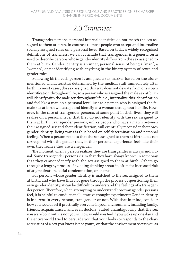### *2.3 Transness*

Transgender persons' personal internal identities do not match the sex assigned to them at birth, in contrast to most people who accept and internalize socially assigned roles on a personal level. Based on today's widely recognised definitions of transness, we can conclude that transgender is a general term used to describe persons whose gender identity differs from the sex assigned to them at birth. Gender identity is an inner, personal sense of being a "man", a "woman", or not identifying with anything in the binary system of sexes and gender roles.

Following birth, each person is assigned a sex marker based on the aforementioned characteristics determined by the medical staff immediately after birth. In most cases, the sex assigned this way does not deviate from one's own identification throughout life, so a person who is assigned the male sex at birth will identify with the male sex throughout life, i.e., internalize this identification and feel like a man on a personal level, just as a person who is assigned the female sex at birth will accept and identify as a woman throughout her life. However, in the case of transgender persons, at some point in their lives, they will realize on a personal level that they do not identify with the sex assigned to them at birth. Transgender persons, unlike people who have a match between their assigned sex and their identification, will eventually reconsider their own gender identity. Being trans is thus based on self-determination and personal feeling. When a person realizes that the sex assigned to them at birth does not correspond with the gender that, in their personal experience, feels like their own, they realize they are transgender.

The moment when a person realizes they are transgender is always individual. Some transgender persons claim that they have always known in some way that they cannot identify with the sex assigned to them at birth. Others go through a lengthy process of avoiding thinking about it, often for increased risk of stigmatization, social condemnation, or shame.

For persons whose gender identity is matched to the sex assigned to them at birth, and who have thus not gone through the process of questioning their own gender identity, it can be difficult to understand the feelings of a transgender person. Therefore, when attempting to understand how transgender persons feel, it is helpful to conduct an illustrative thought experiment: Gender identity is inherent in every person, transgender or not. With that in mind, consider how you would feel if practically everyone in your environment, including family, friends, acquaintances, and even doctors, stated unambiguously that the sex you were born with is not yours. How would you feel if you woke up one day and the entire world tried to persuade you that your body corresponds to the characteristics of a sex you know is not yours, or that the environment views you as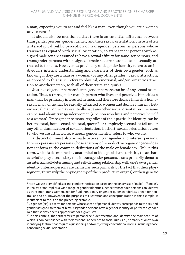a man, expecting you to act and feel like a man, even though you are a woman or vice versa.8

It should also be mentioned that there is an essential difference between transgender persons' gender identity and their sexual orientation. There is often a stereotypical public perception of transgender persons as persons whose transness is equated with sexual orientation, so transgender persons with assigned male sex are assumed to have a sexual affinity for same-sex persons, and transgender persons with assigned female sex are assumed to be sexually attracted to females. However, as previously said, gender identity refers to an individual's internal understanding and awareness of their own gender, such as knowing if they are a man or a woman (or any other gender). Sexual attraction, as opposed to this issue, refers to physical, emotional, and/or romantic attraction to another person, with all of their traits and quirks.

Just like cisgender persons<sup>9</sup>, transgender persons can be of any sexual orientation. Thus, a transgender man (a person who lives and perceives himself as a man) may be primarily interested in men, and therefore declare himself a homosexual man, or he may be sexually attracted to women and declare himself a heterosexual man, or he may eventually have any other sexual orientation. The same can be said about transgender women (a person who lives and perceives herself as a woman). Transgender persons, regardless of their particular identity, can be heterosexual, homosexual, bisexual, queer<sup>10</sup>, or completely asexual, or fall under any other classification of sexual orientation. In short, sexual orientation refers to who we are attracted to, whereas gender identity refers to who we are.

A distinction must also be made between transgender and intersex persons. Intersex persons are persons whose anatomy of reproductive organs or genes does not conform to the common definitions of the male or female sex. Unlike this term, which is determined by anatomical or biological characteristics, these characteristics play a secondary role in transgender persons. Trans primarily denotes an internal, self-determining and self-defining relationship with one's own gender identity. Intersex persons are defined as such primarily by the fact that their physiognomy (primarily the physiognomy of the reproductive organs) or their genetic

<sup>&</sup>lt;sup>8</sup> Here we use a simplified sex and gender stratification based on the binary scale "male" - "female". In reality, trans implies a wide range of gender identities, hence transgender persons can identify as trans men, trans women, gender fluid, non-binary or gender queer, genderless or gender neutral, and so on. However, for the purposes of illustration and conceptualization in this example, it is sufficient to focus on the preceding example.

<sup>&</sup>lt;sup>9</sup> Cisgender (cis) is a term for persons whose sense of personal identity corresponds to the sex and gender assigned to them at birth. Cisgender persons have a gender identity or perform a gender role that society deems appropriate for a given sex.

<sup>&</sup>lt;sup>10</sup> In this context, the term refers to personal self-identification and identity, the main feature of which is non-compliance with "self-evident" adherence to social rules, i.e., primarily as one's own identifying feature that requires questioning and/or rejecting conventional norms, including those concerning sexual orientation.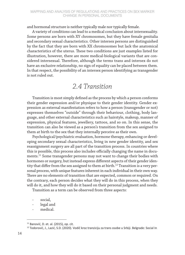and hormonal structure is neither typically male nor typically female.

A variety of conditions can lead to a medical conclusion about intersexuality. Some persons are born with XY chromosomes, but they have female genitalia and secondary sexual characteristics. Other intersex persons are distinguished by the fact that they are born with XX chromosomes but lack the anatomical characteristics of the uterus. These two conditions are just examples listed for illustration, however, there are more medical-biological variants that are considered intersexual. Therefore, although the terms trans and intersex do not have an exclusive relationship, no sign of equality can be placed between them. In that respect, the possibility of an intersex person identifying as transgender is not ruled out.

#### *2.4 Transition*

Transition is most simply defined as the process by which a person conforms their gender expression and/or physique to their gender identity. Gender expression as external manifestation refers to how a person (transgender or not) expresses themselves "outside" through their behaviour, clothing, body language, and other external characteristics such as hairstyle, makeup, manner of expression, physical features, jewellery, tattoos, and so on. In this sense, the transition can also be viewed as a person's transition from the sex assigned to them at birth to the sex that they internally perceive as their own.

Psychological/psychiatric evaluation, hormone therapy, enhancing or developing secondary sexual characteristics, living in new gender identity, and sex reassignment surgery are all part of the transition process. In countries where this is possible, this process also includes officially changing the name in documents.<sup>11</sup> Some transgender persons may not want to change their bodies with hormones or surgery, but instead express different aspects of their gender identity that differ from the sex assigned to them at birth.<sup>12</sup> Transition is a very personal process, with unique features inherent in each individual in their own way. There are no elements of transition that are expected, common or required. On the contrary, each person decides what they will do in this process, when they will do it, and how they will do it based on their personal judgment and needs.

Transition as a term can be observed from three aspects:

- legal and
- medical.

social,

 $11$  Banović, D. et. al. (2015), op. cit.

<sup>&</sup>lt;sup>12</sup> Todorović, J., Lazić, S.D. (2020). Vodič kroz tranziciju za trans osobe u Srbiji. Belgrade: Social In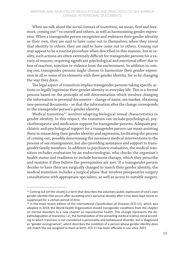When we talk about the social context of transition, we mean, first and foremost, coming out $^{13}$  to oneself and others, as well as harmonizing gender expression. When a transgender person recognizes and embraces their gender identity as their own, they are said to have come out to themselves; when they reveal that identity to others, they are said to have come out to others. Coming out may appear to be a routine procedure when described in this manner, but in reality, such actions are often extremely difficult for transgender persons for a variety of reasons, requiring significant psychological and emotional effort due to fear of reaction, rejection or violence from the environment. In addition to coming out, transgender persons might choose to harmonize their gender expression in all or some of its elements with their gender identity, for as by changing the way they dress.

The legal aspect of transition implies transgender persons taking specific actions to legally legitimize their gender identity in everyday life. This is a formal process based on the principle of self-determination which involves changing the information in personal documents – change of name, sex marker, obtaining new personal documents – so that the information after the change corresponds to the transgender person's gender identity.

Medical transition<sup>14</sup> involves adapting biological sexual characteristics to gender identity. In this respect, the transition can include psychological, psychotherapeutic and medication support for transgender persons. Adequate psychiatric and psychological support for a transgender person can mean assisting them in researching their gender identity and expression, facilitating the process of coming out, possibly determining the necessary medical interventions in the process of sex reassignment, but also providing assistance and support to transgender family members. In addition to psychiatric evaluation, the medical transition includes evaluation by an endocrinologist, who checks the organism's health status and readiness to include hormone therapy, which they prescribe and monitor if they believe the prerequisites are met. If a transgender person decides to have their sex surgically changed to match their gender identity, the medical transition includes a surgical phase that involves preoperative surgery consultations with appropriate specialists, as well as access to suitable surgery.

 $13$  Coming out [of the closet] is a term that describes the voluntary public expression of one's own gender identity that occurs after accepting one's personal identity after it has been kept secret or suppressed for a certain period of time.

 $<sup>14</sup>$  In the most recent edition of the International Classification of Diseases (ICD-11), which was</sup> adopted in 2019, the World Health Organisation moved transgender conditions from the chapter on mental disorders to a new chapter on reproductive health. This change represents the depathologisation of transness, i.e., the formalization of the prevailing medical science trend according to which transness is not considered a personality and behavioural disorder, but is diagnosed as "gender incongruence", which describes the condition of a person whose gender identity does not match the sex assigned to them at birth. ICD-11 has been officially in use since 2022.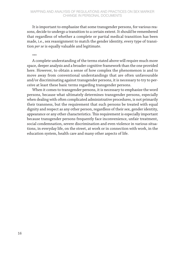It is important to emphasize that some transgender persons, for various reasons, decide to undergo a transition to a certain extent. It should be remembered that regardless of whether a complete or partial medical transition has been made, i.e., sex reassignment to match the gender identity, every type of transition *per se* is equally valuable and legitimate.

\*\*\*

A complete understanding of the terms stated above will require much more space, deeper analysis and a broader cognitive framework than the one provided here. However, to obtain a sense of how complex the phenomenon is and to move away from conventional understandings that are often unfavourable and/or discriminating against transgender persons, it is necessary to try to perceive at least these basic terms regarding transgender persons.

When it comes to transgender persons, it is necessary to emphasize the word persons, because what ultimately determines transgender persons, especially when dealing with often complicated administrative procedures, is not primarily their transness, but the requirement that such persons be treated with equal dignity and respect as any other person, regardless of their sex, gender identity, appearance or any other characteristics. This requirement is especially important because transgender persons frequently face inconvenience, unfair treatment, social condemnation, severe discrimination and even violence in various situations, in everyday life, on the street, at work or in connection with work, in the education system, health care and many other aspects of life.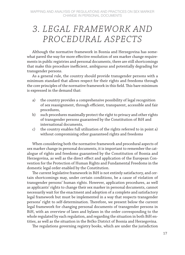## *3. LEGAL FRAMEWORK AND PROCEDURAL ASPECTS*

Although the normative framework in Bosnia and Herzegovina has somewhat paved the way for more effective resolution of sex marker change requirements in public registries and personal documents, there are still shortcomings that make this procedure inefficient, ambiguous and potentially degrading for transgender persons.

As a general rule, the country should provide transgender persons with a minimum standard that allows respect for their rights and freedoms through the core principles of the normative framework in this field. This bare minimum is expressed in the demand that:

- a) the country provides a comprehensive possibility of legal recognition of sex reassignment, through efficient, transparent, accessible and fair procedures,
- b) such procedures maximally protect the right to privacy and other rights of transgender persons guaranteed by the Constitution of BiH and international documents,
- c) the country enables full utilization of the rights referred to in point a) without compromising other guaranteed rights and freedoms

When considering both the normative framework and procedural aspects of sex marker change in personal documents, it is important to remember the catalogue of rights and freedoms guaranteed by the Constitution of Bosnia and Herzegovina, as well as the direct effect and application of the European Convention for the Protection of Human Rights and Fundamental Freedoms in the domestic legal order enabled by the Constitution.

The current legislative framework in BiH is not entirely satisfactory, and certain shortcomings may, under certain conditions, be a cause of violation of transgender persons' human rights. However, application procedures, as well as applicants' rights to change their sex marker in personal documents, cannot necessarily wait for the enactment and adoption of a complete and satisfactory legal framework but must be implemented in a way that respects transgender persons' right to self-determination. Therefore, we present below the current legal framework for changing personal documents of transgender persons in BiH, with an overview of laws and bylaws in the order corresponding to the whole regulated by each regulation, and regarding the situation in both BiH entities, as well as the situation in the Brčko District of Bosnia and Herzegovina.

The regulations governing registry books, which are under the jurisdiction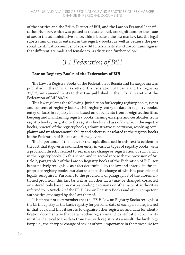of the entities and the Brčko District of BiH, and the Law on Personal Identification Number, which was passed at the state level, are significant for the issue of sex in the administrative sense. This is because the sex marker, i.e., the legal substratum of sex, is entered in the registry books, as well as because the personal identification number of every BiH citizen in its structure contains figures that differentiate male and female sex, as discussed further below.

### *3.1 Federation of BiH*

#### **Law on Registry Books of the Federation of BiH**

The Law on Registry Books of the Federation of Bosnia and Herzegovina was published in the Official Gazette of the Federation of Bosnia and Herzegovina 37/12, with amendments to that Law published in the Official Gazette of the Federation of BiH 80/14.

This law regulates the following: jurisdiction for keeping registry books, types and content of registry books, civil registry, entry of data in registry books, entry of facts in registry books based on documents from foreign authorities, keeping and maintaining registry books, issuing excerpts and certificates from registry books, insight into the registry books and use of data from the registry books, renewal of the registry books, administrative supervision, resolving complaints and misdemeanour liability and other issues related to the registry books in the Federation of Bosnia and Herzegovina.

The importance of this Law for the topic discussed in this text is evident in the fact that it governs sex marker entry in various types of registry books, with a provision directly related to sex marker change or registration of such a fact in the registry books. In this sense, and in accordance with the provision of Article 2, paragraph 2 of the Law on Registry Books of the Federation of BiH, sex is normatively recognised as a fact determined by the law and entered in the appropriate registry books, but also as a fact the change of which is possible and legally recognised. Pursuant to the provisions of paragraph 3 of the aforementioned provision, this fact (as well as all other facts) may be changed, corrected or entered only based on corresponding decisions or other acts of authorities referred to in Article 7 of the FBiH Law on Registry Books and other competent authorities envisaged by the Law thereof.

It is important to remember that the FBiH Law on Registry Books recognises the birth registry as the basic registry for personal data of each person registered in that book and that it serves to organise other registries and data for identification documents so that data in other registries and identification documents must be identical to the data from the birth registry. As a result, the birth registry, i.e., the entry or change of sex, is of vital importance in the procedure for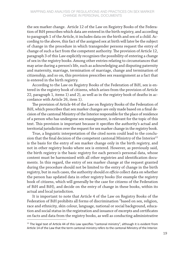the sex marker change. Article 12 of the Law on Registry Books of the Federation of BiH prescribes which data are entered in the birth registry, and according to paragraph 1 of the Article, it includes data on the birth and sex of a child. According to the above, this fact of the assigned sex at birth will later be the subject of change in the procedure in which transgender persons request the entry of change of such a fact from the competent authority. The provision of Article 12, paragraph 3 of this Law explicitly recognises the possibility of entering a change of sex in the registry books. Among other entries relating to circumstances that may arise during a person's life, such as acknowledging and disputing paternity and maternity, marriage, termination of marriage, change and termination of citizenship, and so on, this provision prescribes sex reassignment as a fact that is entered in the birth registry.

According to the Law on Registry Books of the Federation of BiH, sex is entered in the registry book of citizens, which arises from the provision of Article 22, paragraph 1, items 1) and 2), as well as in the registry book of deaths in accordance with Article 26, item 1).

The provision of Article 44 of the Law on Registry Books of the Federation of BiH, which prescribes that sex marker changes are only made based on a final decision of the cantonal Ministry of the Interior responsible for the place of residence of a person who has undergone sex reassignment, is relevant for the topic of this text. This provision is important because it specifies the authority's actual and territorial jurisdiction over the request for sex marker change in the registry book.

True, a linguistic interpretation of the cited norm could lead to the conclusion that the final decision of the competent cantonal Ministry of the Interior<sup>15</sup> is the basis for the entry of sex marker change only in the birth registry, and not in other registry books where sex is entered. However, as previously said, the birth registry is the basic registry for each person's personal data, whose content must be harmonised with all other registries and identification documents. In this regard, the entry of sex marker change at the request granted during the procedure should not be limited to the entry of change in the birth registry, but in such cases, the authority should *ex officio* collect data on whether the person has updated data in other registry books (for example the registry book of citizens, which will generally be the case for citizens of the Federation of BiH and BiH), and decide on the entry of change in these books, within its actual and local jurisdiction.

It is important to note that Article 4 of the Law on Registry Books of the Federation of BiH prohibits all forms of discrimination "based on sex, religion, race and ethnicity, skin colour, language, national or social background, education and social status in the registration and issuance of excerpts and certificates on facts and data from the registry books, as well as conducting administrative

 $15$  The legal text of Article 44 of this Law specifies "cantonal ministry", although it is evident from Article 14 of the Law that the term cantonal ministry refers to the cantonal Ministry of the Interior.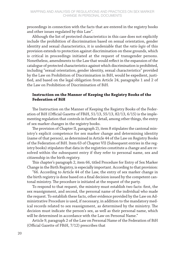proceedings in connection with the facts that are entered in the registry books and other issues regulated by this Law".

Although the list of protected characteristics in this case does not explicitly include the prohibition of discrimination based on sexual orientation, gender identity and sexual characteristics, it is undeniable that the *ratio legis* of this provision extends to protection against discrimination on these grounds, which is critical in proceedings initiated at the request of transgender persons. Nonetheless, amendments to the Law that would reflect in the expansion of the catalogue of protected characteristics against which discrimination is prohibited, including "sexual orientation, gender identity, sexual characteristics" provided by the Law on Prohibition of Discrimination in BiH, would be expedient, justified, and based on the legal obligation from Article 24, paragraphs 1 and 2 of the Law on Prohibition of Discrimination of BiH.

#### **Instruction on the Manner of Keeping the Registry Books of the Federation of BiH**

The Instruction on the Manner of Keeping the Registry Books of the Federation of BiH (Official Gazette of FBiH, 51/13, 55/13, 82/13, 6/15) is the implementing regulation that controls in further detail, among other things, the entry of sex marker changes in the registry books.

The provision of Chapter II, paragraph 2), item 8 stipulates the cantonal ministry's explicit competence for sex marker change and determining identity (name of that person), as determined in Article 44 of the Law on Registry Books of the Federation of BiH. Item 63 of Chapter VII (Subsequent entries in the registry books) stipulates that data in the registries constitute a change and are resolved within the subsequent entry if they refer to personal name, sex and citizenship in the birth registry.

This chapter's paragraph 2, item 66, titled Procedure for Entry of Sex Marker Change in the Birth Registry, is especially important. According to that provision:

"66. According to Article 44 of the Law, the entry of sex marker change in the birth registry is done based on a final decision issued by the competent cantonal ministry. The procedure is initiated at the request of the party.

To respond to that request, the ministry must establish two facts: first, the sex reassignment, and second, the personal name of the individual who made the request. To establish these facts, other evidence provided by the Law on Administrative Procedure is used, if necessary, in addition to the mandatory medical records related to sex reassignment, as determined by the ministry. The decision must indicate the person's sex, as well as their personal name, which will be determined in accordance with the Law on Personal Name."

Article 9, paragraph 2 of the Law on Personal Name of the Federation of BiH (Official Gazette of FBiH, 7/12) prescribes that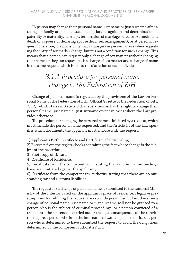"A person may change their personal name, just name or just surname after a change in family or personal status (adoption, recognition and determination of paternity or maternity, marriage, termination of marriage - divorce or annulment, death of a spouse or declaring spouse dead, sex reassignment), or at personal request." Therefore, it is a possibility that a transgender person can use when requesting the entry of sex marker change, but it is not a condition for such a change. This means that a person can request only a change of sex marker without changing their name, or they can request both a change of sex marker and a change of name in the same request, which is left to the discretion of each individual.

## *3.1.1 Procedure for personal name change in the Federation of BiH*

Change of personal name is regulated by the provisions of the Law on Personal Name of the Federation of BiH (Official Gazette of the Federation of BiH, 7/12), which states in Article 9 that every person has the right to change their personal name, just name or just surname except in cases where the Law provides otherwise.

The procedure for changing the personal name is initiated by a request, which must include the personal name requested, and the Article 14 of the Law specifies which documents the applicant must enclose with the request:

1) Applicant's Birth Certificate and Certificate of Citizenship;

2) Excerpts from the registry books containing the fact whose change is the subject of the procedure;

3) Photocopy of ID card;

4) Certificate of Residence;

5) Certificate from the competent court stating that no criminal proceedings have been initiated against the applicant;

6) Certificate from the competent tax authority stating that there are no outstanding tax and customs liabilities.

The request for a change of personal name is submitted to the cantonal Ministry of the Interior based on the applicant's place of residence. Negative presumptions for fulfilling the request are explicitly prescribed by law, therefore a change of personal name, just name or just surname will not be granted to a person who is the subject of criminal proceedings, or a person convicted of a crime until the sentence is carried out or the legal consequences of the conviction expire, a person who is on the international wanted persons notice or a person who is determined to have submitted the request to avoid the obligations determined by the competent authorities' act.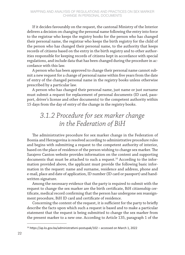If it decides favourably on the request, the cantonal Ministry of the Interior delivers a decision on changing the personal name following the entry into force to the registrar who keeps the registry books for the person who has changed their personal name, the registrar who keeps the birth registry for the child of the person who has changed their personal name, to the authority that keeps records of citizens based on the entry in the birth registry and to other authorities responsible for keeping records of citizens kept in accordance with special regulations, and include data that has been changed during the procedure in accordance with this law.

A person who has been approved to change their personal name cannot submit a new request for a change of personal name within five years from the date of entry of the changed personal name in the registry books unless otherwise prescribed by a particular law.

A person who has changed their personal name, just name or just surname must submit a request for replacement of personal documents (ID card, passport, driver's license and other documents) to the competent authority within 15 days from the day of entry of the change in the registry books.

## *3.1.2 Procedure for sex marker change in the Federation of BiH*

The administrative procedure for sex marker change in the Federation of Bosnia and Herzegovina is resolved according to administrative procedure rules and begins with submitting a request to the competent authority of interior, based on the place of residence of the person wishing to change sex marker. The Sarajevo Canton website provides information on the content and supporting documents that must be attached to such a request.<sup>16</sup> According to the information provided above, the applicant must provide the following basic information in the request: name and surname, residence and address, phone and e-mail, place and date of application, ID number (ID card or passport) and handwritten signature.

Among the necessary evidence that the party is required to submit with the request to change the sex marker are the birth certificate, BiH citizenship certificate, medical record confirming that the person has undergone sex reassignment procedure, BiH ID card and certificate of residence.

Concerning the content of the request, it is sufficient for the party to briefly describe the facts upon which such a request is based and to make a particular statement that the request is being submitted to change the sex marker from the present marker to a new one. According to Article 135, paragraph 1 of the

<sup>16</sup> https://ap.ks.gov.ba/administrativni-postupak/102 – accessed on March 1, 2022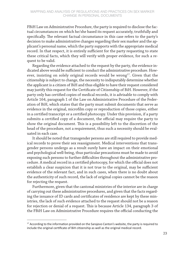FBiH Law on Administrative Procedure, the party is required to disclose the factual circumstances on which he/she based its request accurately, truthfully and specifically. The relevant factual circumstance in this case refers to the party's decision to make administrative changes regarding their sex marker and the applicant's personal name, which the party supports with the appropriate medical record. In that respect, it is entirely sufficient for the party requesting to state these critical facts, which they will verify with proper evidence, for such a request to be valid.

Regarding the evidence attached to the request by the party, the evidence indicated above would be sufficient to conduct the administrative procedure. However, insisting on solely original records would be wrong $17$ . Given that the citizenship is subject to change, the necessity to indisputably determine whether the applicant is a citizen of BiH and thus eligible to have their request considered may justify this request for the Certificate of Citizenship of BiH. However, if the party only has certified copies of medical records, it is advisable to comply with Article 164, paragraph 1 of the Law on Administrative Procedure of the Federation of BiH, which states that the party must submit documents that serve as evidence in the original, microfilm copy or reproduction of those copies, either in a certified transcript or a certified photocopy. Under this provision, if a party submits a certified copy of a document, the official may require the party to show the original document. This is a possibility left to the discretion of the head of the procedure, not a requirement, thus such a necessity should be evaluated in each case.

It should be noted that transgender persons are still required to provide medical records to prove their sex reassignment. Medical interventions that transgender persons undergo as a result surely have an impact on their emotional and psychological well-being, thus particular precautions must be made to avoid exposing such persons to further difficulties throughout the administrative procedure. A medical record in a certified photocopy, for which the official does not establish a clear suspicion that it is not true to the original, may be sufficient evidence of the relevant fact, and in such cases, when there is no doubt about the authenticity of such record, the lack of original copies cannot be the reason for rejecting the request.

Furthermore, given that the cantonal ministries of the interior are in charge of carrying out these administrative procedures, and given that the facts regarding the issuance of ID cards and certificates of residence are kept by these ministries, the lack of such evidence attached to the request should not be a reason for rejection or denial of a request. This is because Article 134, paragraph 3 of the FBiH Law on Administrative Procedure requires the official conducting the

 $17$  According to the information provided on the Sarajevo Canton's website, the party is required to include the original certificate of BiH citizenship as well as the original medical record.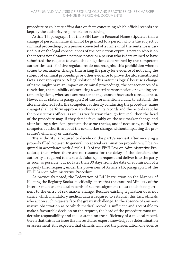procedure to collect *ex officio* data on facts concerning which official records are kept by the authority responsible for resolving.

Article 16, paragraph 1 of the FBiH Law on Personal Name stipulates that a change of personal name shall not be granted to a person who is the subject of criminal proceedings, or a person convicted of a crime until the sentence is carried out or the legal consequences of the conviction expire, a person who is on the international wanted persons notice or a person who is determined to have submitted the request to avoid the obligations determined by the competent authorities' act. Positive regulations do not recognise this prohibition when it comes to sex marker change, thus asking the party for evidence of not being the subject of criminal proceedings or other evidence to prove the aforementioned facts is not appropriate. A legal solution of this nature is logical because a change of name might have an impact on criminal proceedings, the consequences of a conviction, the possibility of executing a wanted persons notice, or avoiding certain obligations, whereas a sex marker change cannot have such consequences. However, as stated in paragraph 2 of the aforementioned Law, to establish the aforementioned facts, the competent authority conducting the procedure (name change) shall perform appropriate checks on its records and the records kept by the prosecutor's offices, as well as verification through Interpol, then the head of the procedure may, if they decide favourably on the sex marker change and after issuing a decision, perform the same checks, and if necessary, notify the competent authorities about the sex marker change, without impacting the procedure's efficiency or duration.

The authority is required to decide on the party's request after receiving a properly filled request. In general, no special examination procedure will be required in accordance with Article 140 of the FBiH Law on Administrative Procedure; thus, when there are no reasons for the delay of the decision, the authority is required to make a decision upon request and deliver it to the party as soon as possible, but no later than 30 days from the date of submission of a properly filled request, under the provisions of Article 216, paragraph 1 of the FBiH Law on Administrative Procedure.

As previously noted, the Federation of BiH Instruction on the Manner of Keeping the Registry Books specifically states that the cantonal Ministry of the Interior must use medical records of sex reassignment to establish facts pertinent to the entry of sex marker change. Because existing legislation does not clarify which mandatory medical data is required to establish this fact, officials who act on such requests face the greatest challenge. In the absence of any normative observation as to which medical record is sufficient and acceptable to make a favourable decision on the request, the head of the procedure must undertake responsibility and take a stand on the sufficiency of a medical record. Given that this is an issue that necessitates expert knowledge for determination or assessment, it is expected that officials will need the presentation of evidence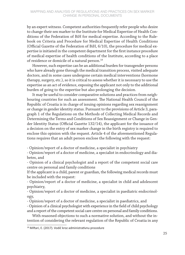by an expert witness. Competent authorities frequently refer people who desire to change their sex marker to the Institute for Medical Expertise of Health Conditions of the Federation of BiH for medical expertise. According to the Rulebook on Criteria and Procedure for Medical Expertise of Health Conditions (Official Gazette of the Federation of BiH, 6/10), the procedure for medical expertise is initiated in the competent department for the first instance procedure of medical expertise of health conditions of the Institute, according to a place of residence or domicile of a natural person.<sup>18</sup>

However, such expertise can be an additional burden for transgender persons who have already gone through the medical transition process, visited adequate doctors, and in some cases undergone certain medical interventions (hormone therapy, surgery, etc.), so it is critical to assess whether it is necessary to use the expertise as an act of evidence, exposing the applicant not only to the additional burden of going to the expertise but also prolonging the decision.

It may be useful to consider comparative solutions and practices from neighbouring countries for such an assessment. The National Health Council of the Republic of Croatia is in charge of issuing opinions regarding sex reassignment or change in gender identity status. Pursuant to the provisions of Article 3, paragraph 1 of the Regulations on the Methods of Collecting Medical Records and Determining the Terms and Conditions of Sex Reassignment or Change in Gender Identity Status (Official Gazette 132/14), the applicant for the issuance of a decision on the entry of sex marker change in the birth registry is required to enclose this opinion with the request. Article 4 of the aforementioned Regulations requires that an adult person enclose the following with the request:

- Opinion/report of a doctor of medicine, a specialist in psychiatry

- Opinion/report of a doctor of medicine, a specialist in endocrinology and diabetes, and

- Opinion of a clinical psychologist and a report of the competent social care centre on personal and family conditions

If the applicant is a child, parent or guardian, the following medical records must be included with the request:

- Opinion/report of a doctor of medicine, a specialist in child and adolescent psychiatry,

- Opinion/report of a doctor of medicine, a specialist in paediatric endocrinology,

- Opinion/report of a doctor of medicine, a specialist in paediatrics, and

- Opinion of a clinical psychologist with experience in the field of child psychology and a report of the competent social care centre on personal and family conditions.

With reasoned objections to such a normative solution, and without the intention of considering the relevant regulation of the Republic of Croatia in any

<sup>18</sup> Miftari, E. (2017). Vodič kroz administrativnu procedure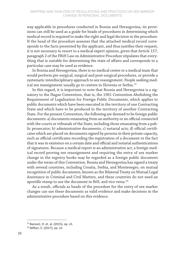way applicable in procedures conducted in Bosnia and Herzegovina, its provisions can still be used as a guide for heads of procedures in determining which medical record is required to make the right and legal decision in the procedure. If the head of the procedure assesses that the attached medical record corresponds to the facts presented by the applicant, and thus justifies their request, it is not necessary to resort to a medical expert opinion, given that Article 157, paragraph 2 of the FBiH Law on Administrative Procedure stipulates that everything that is suitable for determining the state of affairs and corresponds to a particular case may be used as evidence.

In Bosnia and Herzegovina, there is no medical centre or a medical team that would perform pre-surgical, surgical and post-surgical procedures, or provide a systematic interdisciplinary approach to sex reassignment. People seeking medical sex reassignment usually go to centres in Slovenia or Serbia.<sup>19</sup>

In this regard, it is important to note that Bosnia and Herzegovina is a signatory to the Hague Convention, that is, the 1961 Convention Abolishing the Requirement of Legalisation for Foreign Public Documents, which applies to public documents which have been executed in the territory of one Contracting State and which have to be produced in the territory of another Contracting State. For the present Convention, the following are deemed to be foreign public documents: a) documents emanating from an authority or an official connected with the courts or tribunals of the State, including those emanating from a public prosecutor; b) administrative documents; c) notarial acts; d) official certificates which are placed on documents signed by persons in their private capacity, such as official certificates recording the registration of a document or the fact that it was in existence on a certain date and official and notarial authentications of signatures. Because a medical report is an administrative act, a foreign medical record proving sex reassignment and requiring the entry of sex marker change in the registry books may be regarded as a foreign public document under the terms of this Convention. Bosnia and Herzegovina has signed a treaty with several countries, including Croatia, Serbia, and Montenegro, on mutual recognition of public documents, known as the Bilateral Treaty on Mutual Legal Assistance in Criminal and Civil Matters, and these countries do not need an apostille stamp to use the document in BiH, and vice versa.<sup>20</sup>

As a result, officials as heads of the procedure for the entry of sex marker changes can use these documents as valid evidence and make decisions in the administrative procedure based on this evidence.

<sup>&</sup>lt;sup>19</sup> Banović, D. et. al. (2015), op. cit.

<sup>20</sup> Miftari, E. (2017), op. cit.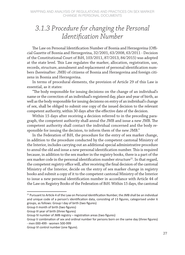## *3.1.3 Procedure for changing the Personal Identification Number*

The Law on Personal Identification Number of Bosnia and Herzegovina (Official Gazette of Bosnia and Herzegovina, 32/2001, 63/2008, 63/2011 - Decision of the Constitutional Court of BiH, 103/2011, 87/2013, 84/2015) was adopted at the state level. This Law regulates the marker, allocation, registration, use, records, structure, annulment and replacement of personal identification numbers (hereinafter: JMB) of citizens of Bosnia and Herzegovina and foreign citizens in Bosnia and Herzegovina.

In terms of procedural elements, the provision of Article 29 of this Law is essential, as it states:

"The body responsible for issuing decisions on the change of an individual's name or the correction of an individual's registered day, place and year of birth, as well as the body responsible for issuing decisions on entry of an individual's change of sex, shall be obliged to submit one copy of the issued decision to the relevant competent authority, within 30 days after the effective date of the decision.

Within 15 days after receiving a decision referred to in the preceding paragraph, the competent authority shall annul the JMB and issue a new JMB. The competent authority shall contact the individual concerned and the body responsible for issuing the decision, to inform them of the new JMB."

In the Federation of BiH, the procedure for the entry of sex marker change, in addition to the procedure conducted by the competent cantonal Ministry of the Interior, includes carrying out an additional special administrative procedure to annul the old and issue a new personal identification number. This is required because, in addition to the sex marker in the registry books, there is a part of the sex marker code in the personal identification number structure<sup>21</sup>. In that regard, the competent registry office will, after receiving the final decision of the cantonal Ministry of the Interior, decide on the entry of sex marker change in registry books and submit a copy of it to the competent cantonal Ministry of the Interior to issue a new personal identification number in accordance with Article 44 of the Law on Registry Books of the Federation of BiH. Within 15 days, the cantonal

<sup>&</sup>lt;sup>21</sup> Pursuant to Article 4 of the Law on Personal Identification Number, the JMB shall be an individual and unique code of a person's identification data, consisting of 13 figures, categorised under 6 groups, as follows: Group I day of birth (two figures)

Group II month of birth (two figures)

Group III year of birth (three figures)

Group IV number of JMB registry – registration areas (two figures)

Group V combination of sex and ordinal number for persons born on the same day (three figures) - men 000-499 - women 500-999

Group VI control number (one figure).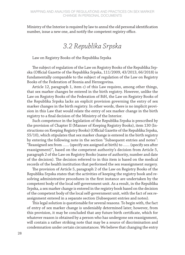Ministry of the Interior is required by law to annul the old personal identification number, issue a new one, and notify the competent registry office.

### *3.2 Republika Srpska*

Law on Registry Books of the Republika Srpska

The subject of regulation of the Law on Registry Books of the Republika Srpska (Official Gazette of the Republika Srpska, 111/2009, 43/2013, 66/2018) is fundamentally comparable to the subject of regulation of the Law on Registry Books of the Federation of Bosnia and Herzegovina.

Article 12, paragraph 1, item c) of this Law requires, among other things, that sex marker changes be entered in the birth registry. However, unlike the Law on Registry Books of the Federation of BiH, the Law on Registry Books of the Republika Srpska lacks an explicit provision governing the entry of sex marker changes in the birth registry. In other words, there is no implicit provision in this Law that would relate the entry of sex marker change in the birth registry to a final decision of the Ministry of the Interior.

Such competence in the legislation of the Republika Srpska is prescribed by the provision of Chapter II (Manner of Keeping Registry Books), item 130 (Instructions on Keeping Registry Books) (Official Gazette of the Republika Srpska, 55/10), which stipulates that sex marker change is entered in the birth registry by entering the following note in the section "Subsequent entries and notes": "Reassigned sex from …… (specify sex assigned at birth) to …… (specify sex after reassignment)", based on the competent authority's decision from Article 5, paragraph 2 of the Law on Registry Books (name of authority, number and date of the decision). The decision referred to in this item is based on the medical records of the health institution that performed the sex reassignment surgery.

The provision of Article 5, paragraph 2 of the Law on Registry Books of the Republika Srpska states that the activities of keeping the registry book and resolving administrative procedures in the first instance are undertaken by the competent body of the local self-government unit. As a result, in the Republika Srpska, a sex marker change is entered in the registry book based on the decision of the competent body of the local self-government unit, with the fact of sex reassignment entered in a separate section (Subsequent entries and notes).

This legal solution is questionable for several reasons. To begin with, the fact of entry of sex marker change is undeniably determined later; however, from this provision, it may be concluded that any future birth certificate, which for whatever reason is obtained by a person who has undergone sex reassignment, will contain a rather striking note that may be a source of discrimination and condemnation under certain circumstances. We believe that changing the entry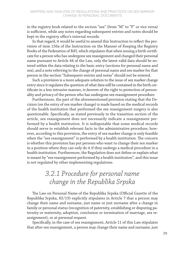in the registry book related to the section "sex" (from "M" to "F" or vice versa) is sufficient, while any notes regarding subsequent entries and notes should be kept in the registry office's internal records.

In that regard, it would be useful to amend this Instruction to reflect the provision of item 156a of the Instruction on the Manner of Keeping the Registry Books of the Federation of BiH, which stipulates that when issuing a birth certificate for a person who has undergone sex reassignment and changed their personal name pursuant to Article 44 of the Law, only the latest valid data should be entered within the data relating to the basic entry (sections for personal name and sex), and a note referring to the change of personal name and sex marker for that person in the section "Subsequent entries and notes" should not be entered.

Such a provision is a more adequate solution to the issue of sex marker change entry since it regulates the question of what data will be contained in the birth certificate in a less intrusive manner, *in favorem* of the right to protection of personality and privacy of the person who has undergone sex reassignment procedure.

Furthermore, the part of the aforementioned provision stating that the Decision (on the entry of sex marker change) is made based on the medical records of the health institution that performed the sex reassignment surgery is also questionable. Specifically, as stated previously in the transition section of the article, sex reassignment does not necessarily indicate a reassignment performed by a health institution. It is indisputable that some medical records should serve to establish relevant facts in the administrative procedure, however, according to this provision, the entry of sex marker change is only feasible when the "sex reassignment" is performed by a health institution. The concern is whether this provision has put persons who want to change their sex marker in a position where they can only do it if they undergo a medical procedure in a health institution. Furthermore, the Regulation does not define or explain what is meant by "sex reassignment performed by a health institution", and this issue is not regulated by other implementing regulations.

## *3.2.1 Procedure for personal name change in the Republika Srpska*

The Law on Personal Name of the Republika Srpska (Official Gazette of the Republika Srpska, 82/19) explicitly stipulates in Article 7 that a person may change their name and surname, just name or just surname after a change in family or personal status (recognition of paternity, establishing or disputing paternity or maternity, adoption, conclusion or termination of marriage, sex reassignment), or at personal request.

Specifically, in the case of sex reassignment, Article 11 of this Law stipulates that after sex reassignment, a person may change their name and surname, just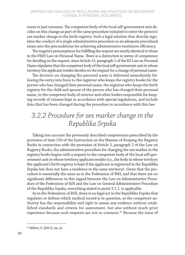name or just surname. The competent body of the local self-government unit decides on this change as part of the same procedure initiated to enter the person's sex marker change in the birth registry. Such a legal solution that directly regulates the conduct of a single administrative procedure in an adequate procedural sense sets the preconditions for achieving administrative resolution efficiency.

The negative presumptions for fulfilling the request are nearly identical to those in the FBiH Law on Personal Name. There is a distinction in terms of competence for deciding on the request, since Article 15, paragraph 1 of the RS Law on Personal Name stipulates that the competent body of the local self-government unit in whose territory the applicant resides decides on the request for a change of personal name.

The decision on changing the personal name is delivered immediately following the entry into force to the registrar who keeps the registry books for the person who has changed their personal name, the registrar who keeps the birth registry for the child and spouse of the person who has changed their personal name, to the competent body of interior and other bodies responsible for keeping records of citizens kept in accordance with special regulations, and include data that has been changed during the procedure in accordance with this law.

## *3.2.2 Procedure for sex marker change in the Republika Srpska*

Taking into account the previously described competencies prescribed by the provision of item 130 of the Instruction on the Manner of Keeping the Registry Books in connection with the provision of Article 5, paragraph 2 of the Law on Registry Books, the administrative procedure for changing the sex marker in the registry books begins with a request to the competent body of the local self-government unit in whose territory applicant resides (i.e., the body in whose territory the applicant's birth registry is kept if the applicant is registered in the Republika Srpska but does not have a residence in the same territory). Given that the procedure is essentially the same as in the Federation of BiH, and that there are no significant differences in this regard between the Law on Administrative Procedure of the Federation of BiH and the Law on General Administrative Procedure of the Republika Srpska, everything stated in point 3.1.1. is applicable.

As in the Federation of BiH, there is no legal act in the Republika Srpska that regulates or defines which medical record is in question, so the competent authority has the responsibility and right to assess any evidence without established standards and criteria for assessment, but also without much prior experience because such requests are not so common. $^{22}$  Because the issue of

<sup>22</sup> Miftari, E. (2017), op. cit.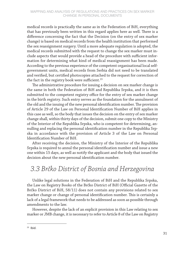medical records is practically the same as in the Federation of BiH, everything that has previously been written in this regard applies here as well. There is a difference concerning the fact that the Decision (on the entry of sex marker change) is based on medical records from the health institution that performed the sex reassignment surgery. Until a more adequate regulation is adopted, the medical records submitted with the request to change the sex marker must include aspects that would provide a head of the procedure with sufficient information for determining what kind of medical reassignment has been made. According to the previous experience of the competent organisational local selfgovernment units, medical records from Serbia did not need to be translated and verified, but certified photocopies attached to the request for correction of the fact in the registry book were sufficient. $23$ 

The administrative procedure for issuing a decision on sex marker change is the same in both the Federation of BiH and Republika Srpska, and it is then submitted to the competent registry office for the entry of sex marker change in the birth registry. Such entry serves as the foundation for the annulment of the old and the issuing of the new personal identification number. The provision of Article 29 of the Law on Personal Identification Number of BiH applies in this case as well, so the body that issues the decision on the entry of sex marker change shall, within thirty days of the decision, submit one copy to the Ministry of the Interior of the Republika Srpska, who is competent for determining, annulling and replacing the personal identification number in the Republika Srpska in accordance with the provision of Article 3 of the Law on Personal Identification Number of BiH.

After receiving the decision, the Ministry of the Interior of the Republika Srpska is required to annul the personal identification number and issue a new one within 15 days, as well as notify the applicant and the body that issued the decision about the new personal identification number.

## *3.3 Brčko District of Bosnia and Herzegovina*

Unlike legal solutions in the Federation of BiH and the Republika Srpska, the Law on Registry Books of the Brčko District of BiH (Official Gazette of the Brčko District of BiH, 58/11) does not contain any provisions related to sex marker change or change of personal identification number. This is certainly a lack of a legal framework that needs to be addressed as soon as possible through amendments to the law.

However, despite the lack of an explicit provision in this Law relating to sex marker or JMB change, it is necessary to refer to Article 8 of the Law on Registry

 $23$  Ibid.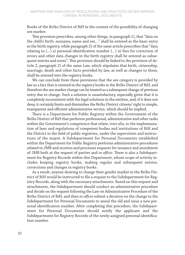Books of the Brčko District of BiH in the context of the possibility of changing sex marker.

This provision prescribes, among other things, in paragraph 1), that "data on the child's birth: surname, name and sex…" shall be entered as the basic entry in the birth registry, while paragraph 2) of the same article prescribes that "data relating to (…) a) personal identification number (…) n) fees for correction of errors and other data changes in the birth registry shall be entered as subsequent entries and notes". This provision should be linked to the provision of Article 2, paragraph 2) of the same Law, which stipulates that birth, citizenship, marriage, death and other facts provided by law, as well as changes to them, shall be entered into the registry books.

We can conclude from these provisions that the sex category is provided by law as a fact that is entered in the registry books in the Brčko District of BiH, and therefore the sex marker change can be treated as a subsequent change of previous entry due to change. Such a solution is unsatisfactory, especially given that it is completely inconsistent with the legal solutions in the entities, and, if it does not deny, it certainly limits and diminishes the Brčko District citizens' right to simple, transparent and efficient administrative service, which should be implied.

There is a Department for Public Registry within the Government of the Brčko District of BiH that performs professional, administrative and other tasks within the Government's competence that relate, *inter alia*, to the implementation of laws and regulations of competent bodies and institutions of BiH and the District in the field of public registries, under the supervision and instructions of the mayor. A Subdepartment for Personal Documents established within the Department for Public Registry performs administrative procedures related to JMB and receives and processes requests for issuance and annulment of JMB both at the request of parties and *ex officio*. There is also a Subdepartment for Registry Records within this Department, whose scope of activity includes keeping registry books, making regular and subsequent entries, corrections and changes in registry books.

As a result, anyone desiring to change their gender marker in the Brčko District of BiH would be instructed to file a request to the Subdepartment for Registry Records, along with the necessary attachments. Based on this request and attachments, the Subdepartment should conduct an administrative procedure and decide on the request following the Law on Administrative Procedure of the Brčko District of BiH, and then *ex officio* submit a decision on the change to the Subdepartment for Personal Documents to annul the old and issue a new personal identification number. After completing this procedure, the Subdepartment for Personal Documents should notify the applicant and the Subdepartment for Registry Records of the newly assigned personal identification number.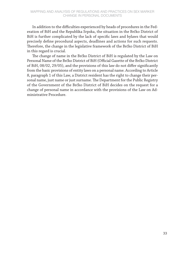In addition to the difficulties experienced by heads of procedures in the Federation of BiH and the Republika Srpska, the situation in the Brčko District of BiH is further complicated by the lack of specific laws and bylaws that would precisely define procedural aspects, deadlines and actions for such requests. Therefore, the change in the legislative framework of the Brčko District of BiH in this regard is crucial.

The change of name in the Brčko District of BiH is regulated by the Law on Personal Name of the Brčko District of BiH (Official Gazette of the Brčko District of BiH, 08/02, 29/05), and the provisions of this law do not differ significantly from the basic provisions of entity laws on a personal name. According to Article 8, paragraph 1 of this Law, a District resident has the right to change their personal name, just name or just surname. The Department for the Public Registry of the Government of the Brčko District of BiH decides on the request for a change of personal name in accordance with the provisions of the Law on Administrative Procedure.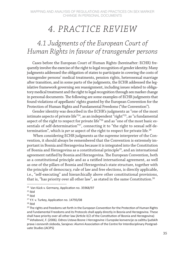## *4. PRACTICE REVIEW*

## *4.1 Judgments of the European Court of Human Rights in favour of transgender persons*

Cases before the European Court of Human Rights (hereinafter: ECHR) frequently involve the exercise of the right to legal recognition of gender identity. Many judgments addressed the obligation of states to participate in covering the costs of transgender persons' medical treatments, pension rights, heterosexual marriage after transition, and in some parts of the judgments, the ECHR addressed the legislative framework governing sex reassignment, including issues related to obligatory medical treatment and the right to legal recognition through sex marker change in personal documents. The following are some examples of ECHR judgments that found violations of appellants' rights granted by the European Convention for the Protection of Human Rights and Fundamental Freedoms ("the Convention").

Gender identity was described in the ECHR's judgments as "one of the most intimate aspects of private life"<sup>24</sup>, as an independent "right"<sup>25</sup>, as "a fundamental aspect of the right to respect for private life"26 and as "one of the most basic essentials of self-determination"<sup>27</sup>, connecting it to "the right to sexual self-determination", which is *per se* aspect of the right to respect for private life.<sup>28</sup>

When considering ECHR judgments as the supreme interpreter of the Convention, it should always be remembered that the Convention is extremely important in Bosnia and Herzegovina because it is integrated into the Constitution of Bosnia and Herzegovina as a constitutional principle<sup>29</sup>, and an international agreement ratified by Bosnia and Herzegovina. The European Convention, both as a constitutional principle and as a ratified international agreement, as well as one of the pillars of Bosnia and Herzegovina's state structure, together with the principle of democracy, rule of law and free elections, is directly applicable, i.e., "self-executing" and hierarchically above other constitutional provisions, that is, "has priority over all other law", as stated in the same Constitution.<sup>30</sup>

<sup>24</sup> Van Kück v. Germany, Application no. 35968/97

 $25$  Ibid

 $26$  Ibid

<sup>&</sup>lt;sup>27</sup> Y.Y. v. Turkey, Application no. 14793/08

 $28$  Ibid

 $29$  The rights and freedoms set forth in the European Convention for the Protection of Human Rights and Fundamental Freedoms and its Protocols shall apply directly in Bosnia and Herzegovina. These shall have priority over all other law (Article II/2 of the Constitution of Bosnia and Herzegovina) <sup>30</sup> Vehabović, F. (2006). Odnos Ustava Bosne i Hercegovine i Europske konvencije za zaštitu ljudskih prava i osnovnih sloboda, Sarajevo: Alumni Association of the Centre for Interdisciplinary Postgraduate Studies (ACIPS)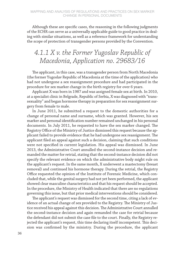Although these are specific cases, the reasoning in the following judgments of the ECHR can serve as a universally applicable guide to good practice in dealing with similar situations, as well as a reference framework for understanding the scope of protection of transgender persons provided by the Convention.

## *4.1.1 X v. the Former Yugoslav Republic of Macedonia, Application no. 29683/16*

The applicant, in this case, was a transgender person from North Macedonia (the former Yugoslav Republic of Macedonia at the time of the application) who had not undergone a sex reassignment procedure and had participated in the procedure for sex marker change in the birth registry for over 6 years.

Applicant X was born in 1987 and was assigned female sex at birth. In 2010, at a specialist clinic in Belgrade, Republic of Serbia, X was diagnosed with "transsexuality" and began hormone therapy in preparation for sex reassignment surgery from female to male.

In June 2011, he submitted a request to the domestic authorities for a change of personal name and surname, which was granted. However, his sex marker and personal identification number remained unchanged in his personal documents. In July 2011, he requested to have the sex marker changed. The Registry Office of the Ministry of Justice dismissed this request because the applicant failed to provide evidence that he had undergone sex reassignment. The applicant filed an appeal against such a decision, claiming that such conditions were not specified in current legislation. His appeal was dismissed. In June 2013, the Administrative Court annulled the second-instance decision and remanded the matter for retrial, stating that the second-instance decision did not specify the relevant evidence on which the administrative body might rule on the applicant's request. In the same month, X underwent a mastectomy (breast removal) and continued his hormone therapy. During the retrial, the Registry Office requested the opinion of the Institute of Forensic Medicine, which concluded that, while the genital surgery had not yet been performed, the applicant showed clear masculine characteristics and that his request should be accepted. In the procedure, the Ministry of Health indicated that there are no regulations governing this issue, but that prior medical interventions should be considered.

The applicant's request was dismissed for the second time, citing a lack of evidence of an actual change of sex provided to the Registry. The Ministry of Justice received his appeal against this decision. The Administrative Court annulled the second-instance decision and again remanded the case for retrial because the defendant did not submit the case file to the court. Finally, the Registry rejected the applicant's request, this time declaring itself incompetent. This decision was confirmed by the ministry. During the procedure, the applicant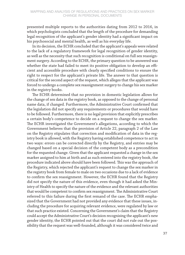presented multiple reports to the authorities dating from 2012 to 2016, in which psychologists concluded that the length of the procedure for demanding legal recognition of the applicant's gender identity had a significant impact on his psychosocial and mental health, as well as his everyday life.

In its decision, the ECHR concluded that the applicant's appeals were related to the lack of a regulatory framework for legal recognition of gender identity, as well as the necessity that such recognition is conditional on full sex reassignment surgery. According to the ECHR, the primary question to be answered was whether the state had failed to meet its positive obligation to develop an efficient and accessible procedure with clearly specified conditions to ensure the right to respect for the applicant's private life. The answer to that question is critical for the second aspect of the request, which alleges that the applicant was forced to undergo a complete sex reassignment surgery to change his sex marker in the registry books.

The ECHR determined that no provision in domestic legislation allows for the change of sex data in the registry book, as opposed to the change of personal name data, if changed. Furthermore, the Administrative Court confirmed that the legislation did not specify any requirements or procedures that would have to be followed. Furthermore, there is no legal provision that explicitly prescribes a certain body's competence to decide on a request to change the sex marker. The ECHR investigated the Government's allegations, according to which the Government believes that the provision of Article 22, paragraph 2 of the Law on the Registry stipulates that correction and modification of data in the registry book is allowed, with the Registry having established competence to act in two ways: errors can be corrected directly by the Registry, and entries may be changed based on a special decision of the competent body as a precondition for the requested change. Given that the applicant requested a change in the sex marker assigned to him at birth and as such entered into the registry book, the procedure indicated above should have been followed. This was the approach of the Registry, which rejected the applicant's request to change the sex marker in the registry book from female to male on two occasions due to a lack of evidence to confirm the sex reassignment. However, the ECHR found that the Registry did not specify the nature of this evidence, even though it had asked the Ministry of Health to specify the nature of the evidence and the relevant authorities that would be competent to confirm sex reassignment. The Administrative Court referred to this failure during the first remand of the case. The ECHR emphasized that the Government had not provided any evidence that these issues, including the procedure for acquiring relevant evidence, were regulated by law or that such practice existed. Concerning the Government's claim that the Registry could accept the Administrative Court's decision recognising the applicant's new gender identity, the ECHR pointed out that the court did not rule out the possibility that the request was well-founded, although it was considered twice and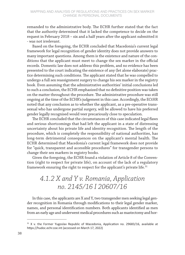remanded to the administrative body. The ECHR further stated that the fact that the authority determined that it lacked the competence to decide on the request in February 2018 – six and a half years after the applicant submitted it - was not irrelevant.

Based on the foregoing, the ECHR concluded that Macedonia's current legal framework for legal recognition of gender identity does not provide answers to many important questions. Among them is the existence and nature of the conditions that the applicant must meet to change the sex marker in the official records. Domestic law does not address this problem, and no evidence has been presented to the court indicating the existence of any (let alone elaborate) practice determining such conditions. The applicant stated that he was compelled to undergo a full sex reassignment surgery to change his sex marker in the registry book. Even assuming that the administrative authorities' initial conclusions led to such a conclusion, the ECHR emphasized that no definitive position was taken on the matter throughout the procedure. The administrative procedure was still ongoing at the time of the ECHR's judgement in this case. Accordingly, the ECtHR noted that any conclusion as to whether the applicant, as a pre-operative transsexual who has undergone partial surgery, will be allowed to have his preferred gender legally recognised would veer precariously close to speculation.

The ECHR concluded that the circumstances of this case indicated legal flaws and serious shortcomings that had left the applicant in a state of distressing uncertainty about his private life and identity recognition. The length of the procedure, which is completely the responsibility of national authorities, has long-term detrimental consequences on the applicant's mental health. The ECHR determined that Macedonia's current legal framework does not provide for "quick, transparent and accessible procedures" for transgender persons to change their sex markers in registry books.

Given the foregoing, the ECHR found a violation of Article 8 of the Convention (right to respect for private life), on account of the lack of a regulatory framework ensuring the right to respect for the applicant's private life.<sup>31</sup>

## *4.1.2 X and Y v. Romania, Application no. 2145/16 I 20607/16*

In this case, the applicants are X and Y, two transgender men seeking legal gender recognition in Romania through modifications to their legal gender marker, names, and personal identification numbers. Both applicants identified as men from an early age and underwent medical procedures such as mastectomy and hor-

 $31$  X v. the Former Yugoslav Republic of Macedonia, Application no. 29683/16, available at https://hudoc.echr.coe.int (accessed on March 17, 2022)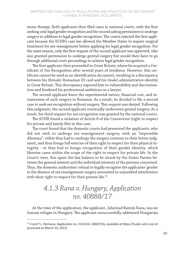mone therapy. Both applicants then filed cases in national courts, with the first seeking only legal gender recognition and the second asking permission to undergo surgery in addition to legal gender recognition. The courts rejected the first applicant because the ECHR's case law allowed the Member States to require surgical treatment for sex reassignment before applying for legal gender recognition. For the same reason, only the first request of the second applicant was approved, who was granted permission to undergo genital surgery but would then have to go through additional court proceedings to achieve legal gender recognition.

The first applicant then proceeded to Great Britain, where he acquired a Certificate of Sex Recognition after several years of residence. However, this certificate cannot be used as an identification document, resulting in a discrepancy between his (female) Romanian ID card and his (male) administrative identity in Great Britain. This discrepancy exposed him to vulnerability and discrimination and hindered his professional ambitions as a lawyer.

The second applicant knew the experimental nature, financial cost, and invasiveness of such surgery in Romania. As a result, he decided to file a second case to seek sex recognition without surgery. This request was denied. Following this judgment, the second applicant eventually underwent genital surgery. As a result, his third request for sex recognition was granted by the national courts.

The ECHR found a violation of Article 8 of the Convention (right to respect for private and family life) in this case.

The court found that the domestic courts had presented the applicants, who did not wish to undergo sex reassignment surgery, with an "impossible dilemma": either they had to undergo the surgery contrary to their better judgment, and thus forego full exercise of their right to respect for their physical integrity - or they had to forego recognition of their gender identity, which likewise came within the scope of the right to respect for private life. In the Court's view, this upset the fair balance to be struck by the States Parties between the general interest and the individual interests of the persons concerned. Thus, the domestic authorities' refusal to legally recognise the applicants' gender in the absence of sex reassignment surgery amounted to unjustified interference with their right to respect for their private life.<sup>32</sup>

### *4.1.3 Rana v. Hungary, Application no. 40888/17*

At the time of the application, the applicant, Jafarizad Barenji Rana, was an Iranian refugee in Hungary. The applicant unsuccessfully addressed Hungarian

<sup>&</sup>lt;sup>32</sup> X and Y v. Romania, Application no. 2145/16 I 20607/16, available at https://hudoc.echr.coe.int (accessed on March 10, 2022)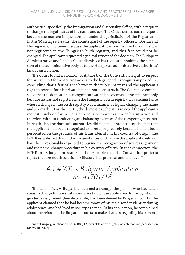authorities, specifically the Immigration and Citizenship Office, with a request to change the legal status of his name and sex. The Office denied such a request because the matters in question fell under the jurisdiction of the Registrar of Births/Marriages/Deaths (the counterpart of the registry offices in Bosnia and Herzegovina). However, because the applicant was born in the IR Iran, he was not registered in the Hungarian birth registry, and this fact could not be changed. The applicant requested a judicial review of the decision. The Budapest Administrative and Labour Court dismissed his request, upholding the conclusion of the administrative body as to the Hungarian administrative authorities' lack of jurisdiction.

The Court found a violation of Article 8 of the Convention (right to respect for private life) for restricting access to the legal gender recognition procedure, concluding that a fair balance between the public interest and the applicant's right to respect for his private life had not been struck. The Court also emphasized that the domestic sex recognition system had dismissed the applicant only because he was not registered in the Hungarian birth registry, in a circumstance where a change in the birth registry was a manner of legally changing the name and sex marker. For the ECHR, the domestic authorities rejected the applicant's request purely on formal considerations, without examining his situation and therefore without conducting any balancing exercise of the competing interests. In particular, the domestic authorities did not take into account the fact that the applicant had been recognised as a refugee precisely because he had been persecuted on the grounds of his trans identity in his country of origin. The ECHR established that in the circumstances of this case the applicant could not have been reasonably expected to pursue the recognition of sex reassignment and the name-change procedure in his country of birth. In that connection, the ECHR in its judgment reaffirms the principle that the Convention protects rights that are not theoretical or illusory, but practical and effective.<sup>33</sup>

## *4.1.4 Y.T. v. Bulgaria, Application no. 41701/16*

The case of Y.T. v. Bulgaria concerned a transgender person who had taken steps to change his physical appearance but whose application for recognition of gender reassignment (female to male) had been denied by Bulgarian courts. The applicant claimed that he had become aware of his male gender identity during adolescence, and had lived in society as a man. In his application, he complained about the refusal of the Bulgarian courts to make changes regarding his personal

<sup>&</sup>lt;sup>33</sup> Rana v. Hungary, Application no. 40888/17, available at https://hudoc.echr.coe.int (accessed on March 10, 2022)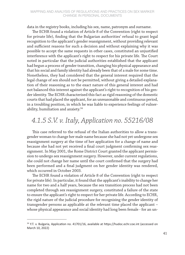#### MAPPING AND ANALYSIS OF REGULATIONS AND PRACTICES ON SEX MARKER CHANGE IN PERSONAL DOCUMENTS

data in the registry books, including his sex, name, patronym and surname.

The ECHR found a violation of Article 8 of the Convention (right to respect for private life), finding that the Bulgarian authorities' refusal to grant legal recognition to the applicant's gender reassignment, without providing relevant and sufficient reasons for such a decision and without explaining why it was possible to accept the same requests in other cases, constituted an unjustified interference with the applicant's right to respect for his private life. The Court noted in particular that the judicial authorities established that the applicant had begun a process of gender transition, changing his physical appearance and that his social and family identity had already been that of a male for some time. Nonetheless, they had considered that the general interest required that the legal change of sex should not be permitted, without giving a detailed explanation of their reasoning as to the exact nature of this general interest and had not balanced this interest against the applicant's right to recognition of his gender identity. The ECHR characterised this fact as rigid reasoning of the domestic courts that had placed the applicant, for an unreasonable and continuous period, in a troubling position, in which he was liable to experience feelings of vulnerability, humiliation and anxiety.34

#### *4.1.5 S.V. v. Italy, Application no. 55216/08*

This case referred to the refusal of the Italian authorities to allow a transgender woman to change her male name because she had not yet undergone sex reassignment surgery at the time of her application for a change of name and because she had not yet received a final court judgment confirming sex reassignment. In May 2001, the Rome District Court granted the applicant permission to undergo sex reassignment surgery. However, under current regulations, she could not change her name until the court confirmed that the surgery had been performed and a final judgment on her gender identity was rendered, which occurred in October 2003.

The ECHR found a violation of Article 8 of the Convention (right to respect for private life). In particular, it found that the applicant's inability to change her name for two and a half years, because the sex transition process had not been completed through sex reassignment surgery, constituted a failure of the state to ensure the applicant's right to respect for her private life. According to ECHR, the rigid nature of the judicial procedure for recognising the gender identity of transgender persons as applicable at the relevant time placed the applicant – whose physical appearance and social identity had long been female - for an un-

<sup>&</sup>lt;sup>34</sup> Y.T. v. Bulgaria, Application no. 41701/16, available at https://hudoc.echr.coe.int (accessed on March 10, 2022)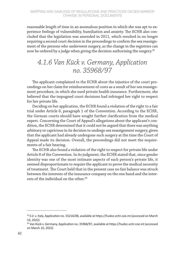reasonable length of time in an anomalous position in which she was apt to experience feelings of vulnerability, humiliation and anxiety. The ECHR also concluded that the legislation was amended in 2011, which resulted in no longer requiring a second court decision in the proceedings to confirm the sex reassignment of the persons who underwent surgery, as the change in the registries can now be ordered by a judge when giving the decision authorising the surgery.<sup>35</sup>

### *4.1.6 Van Kück v. Germany, Application no. 35968/97*

The applicant complained to the ECHR about the injustice of the court proceedings on her claim for reimbursement of costs as a result of her sex reassignment procedure, in which she sued private health insurance. Furthermore, she believed that the impugned court decisions had infringed her right to respect for her private life.

Deciding on her application, the ECHR found a violation of the right to a fair trial under Article 6, paragraph 1 of the Convention. According to the ECHR, the German courts should have sought further clarification from the medical expert. Concerning the Court of Appeal's allegations about the applicant's condition, the ECHR determined that it could not be argued that there was anything arbitrary or capricious in its decision to undergo sex reassignment surgery, given that the applicant had already undergone such surgery at the time the Court of Appeal made its decision. Overall, the proceedings did not meet the requirements of a fair hearing.

The ECHR also found a violation of the right to respect for private life under Article 8 of the Convention. In its judgment, the ECHR stated that, since gender identity was one of the most intimate aspects of each person's private life, it seemed disproportionate to require the applicant to prove the medical necessity of treatment. The Court held that in the present case no fair balance was struck between the interests of the insurance company on the one hand and the interests of the individual on the other.<sup>36</sup>

<sup>35</sup> S.V. v. Italy, Application no. 55216/08, available at https://hudoc.echr.coe.int (accessed on March 10, 2022)

<sup>&</sup>lt;sup>36</sup> Van Kück v. Germany, Application no. 35968/97, available at https://hudoc.echr.coe.int (accessed on March 10, 2022)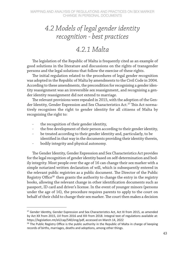## *4.2 Models of legal gender identity recognition - best practices*

#### *4.2.1 Malta*

The legislation of the Republic of Malta is frequently cited as an example of good solutions in the literature and discussions on the rights of transgender persons and the legal solutions that follow the exercise of these rights.

The initial regulation related to the procedures of legal gender recognition was adopted in the Republic of Malta by amendments to the Civil Code in 2004. According to these amendments, the precondition for recognising a gender identity reassignment was an irreversible sex reassignment, and recognising a gender identity reassignment did not extend to marriage.

The relevant provisions were repealed in 2015, with the adoption of the Gender Identity, Gender Expression and Sex Characteristics Act.<sup>37</sup> This Act normatively recognises the right to gender identity for all citizens of Malta by recognising the right to:

- the recognition of their gender identity,
- the free development of their person according to their gender identity,
- be treated according to their gender identity and, particularly, to be identified in that way in the documents providing their identity therein,
- bodily integrity and physical autonomy.

The Gender Identity, Gender Expression and Sex Characteristics Act provides for the legal recognition of gender identity based on self-determination and bodily integrity. Most people over the age of 16 can change their sex marker with a simple notarized written declaration of will, which is subsequently entered in the relevant public registries as a public document. The Director of the Public Registry Office<sup>38</sup> then grants the authority to change the entry in the registry books, allowing the relevant change in other identification documents such as passport, ID card and driver's license. In the event of younger minors (persons under the age of 16), the procedure requires parents to apply to the court on behalf of their child to change their sex marker. The court then makes a decision

<sup>&</sup>lt;sup>37</sup> Gender Identity, Gender Expression and Sex Characteristics Act, Act XI from 2015, as amended by Act XX from 2015, LVI from 2016 and XIII from 2018. Integral text of regulations available at: https://legislation.mt/eli/cap/540/eng/pdf, accessed on March 14, 2022

 $38$  The Public Registry Office is the public authority in the Republic of Malta in charge of keeping records of births, marriages, deaths and adoptions, among other things.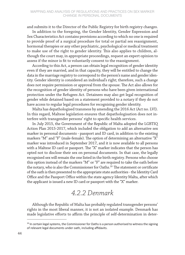#### MAPPING AND ANALYSIS OF REGULATIONS AND PRACTICES ON SEX MARKER CHANGE IN PERSONAL DOCUMENTS

and submits it to the Director of the Public Registry for birth registry changes.

In addition to the foregoing, the Gender Identity, Gender Expression and Sex Characteristics Act contains provisions according to which no one is required to provide proof of a surgical procedure for total or partial sex reassignment, hormonal therapies or any other psychiatric, psychological or medical treatment to make use of the right to gender identity. This also applies to children, although the court may, in appropriate proceedings, request an expert opinion to assess if the minor is fit to voluntarily consent to the reassignment.

According to this Act, a person can obtain legal recognition of gender identity even if they are married, and in that capacity, they will be entitled to change the data in the marriage registry to correspond to the person's name and gender identity. Gender identity is considered an individual's right; therefore, such a change does not require permission or approval from the spouse. The Act also allows for the recognition of gender identity of persons who have been given international protection under the Refugees Act. Detainees may also get legal recognition of gender while detained based on a statement provided to a notary if they do not have access to regular legal procedures for recognising gender identity.

Malta has depathologised transness by amending the 2016 Act (Act no. LVI). In this regard, Maltese legislation ensures that depathologisation does not interfere with transgender persons' right to specific health services.

In July 2015, the Government of the Republic of Malta adopted the LGBTIQ Action Plan 2015-2017, which included the obligation to add an alternative sex marker in personal documents - passport and ID card, in addition to the existing markers "M" and "F" (male-female). The option of determining an alternative "X" marker was introduced in September 2017, and it is now available to all persons with a Maltese ID card or passport. The "X" marker indicates that the person has opted not to disclose their sex on personal documents. In that case, the legally recognised sex will remain the one listed in the birth registry. Persons who choose this option instead of the markers "M" or "F" are required to take the oath before the notary, who is also the Commissioner for Oaths.<sup>39</sup> The statement or certificate of the oath is then presented to the appropriate state authorities - the Identity Card Office and the Passport Office within the state agency Identity Malta, after which the applicant is issued a new ID card or passport with the "X" marker.

### *4.2.2 Denmark*

Although the Republic of Malta has probably regulated transgender persons' rights in the most liberal manner, it is not an isolated example. Denmark has made legislative efforts to affirm the principle of self-determination in deter-

<sup>&</sup>lt;sup>39</sup> In certain legal systems, the Commissioner for Oaths is a person authorised to witness the signing of relevant legal documents under oath, including affidavits.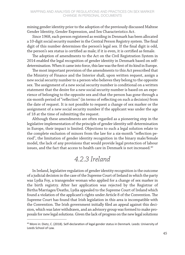mining gender identity prior to the adoption of the previously discussed Maltese Gender Identity, Gender Expression, and Sex Characteristics Act.

Since 1968, each person registered as residing in Denmark has been allocated a 10-digit social security number in the Central Person Registry system. The final digit of this number determines the person's legal sex. If the final digit is odd, the person's sex status is certified as male; if it is even, it is certified as female.

The adoption of amendments to the Act on the Civil Registration System in 2014 enabled the legal recognition of gender identity in Denmark based on selfdetermination. When it came into force, this law was the first of its kind in Europe.

The most important provision of the amendments to this Act prescribed that the Ministry of Finance and the Interior shall, upon written request, assign a new social security number to a person who believes they belong to the opposite sex. The assignment of a new social security number is conditional on a written statement that the desire for a new social security number is based on an experience of belonging to the opposite sex and that the person has gone through a six-month period of "reflection" (in terms of reflecting on such a decision) from the date of request. It is not possible to request a change of sex marker or the assignment of a new social security number if the applicant was under the age of 18 at the time of submitting the request.

Although these amendments are often regarded as a pioneering step in the legislative implementation of the principle of gender identity self-determination in Europe, their impact is limited. Objections to such a legal solution relate to the complete exclusion of minors from the law for a six-month "reflection period", the limitation of gender identity recognition in the binary male/female model, the lack of any provisions that would provide legal protection of labour issues, and the fact that access to health care in Denmark is not increased.<sup>40</sup>

### *4.2.3 Ireland*

In Ireland, legislative regulation of gender identity recognition is the outcome of a judicial decision in the case of the Supreme Court of Ireland in which the party was Lydia Foy, a transgender woman who applied for a change of sex marker in the birth registry. After her application was rejected by the Registrar of Births/Marriages/Deaths, Lydia appealed to the Supreme Court of Ireland which found a violation of the applicant's rights under Article 8 of the Convention. The Supreme Court has found that Irish legislation in this area is incompatible with the Convention. The Irish government initially filed an appeal against this decision, which was later withdrawn, and an advisory group was formed to make proposals for new legal solutions. Given the lack of progress on the new legal solutions

<sup>&</sup>lt;sup>40</sup> More in: Dietz, C. (2018). Self-declaration of legal gender status in Denmark. Leeds: University of Leeds School of Law.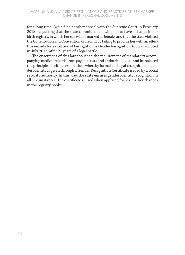for a long time, Lydia filed another appeal with the Supreme Court in February 2013, requesting that the state commits to allowing her to have a change in her birth registry, in which her sex will be marked as female, and that the state violated the Constitution and Convention of Ireland by failing to provide her with an effective remedy for a violation of her rights. The Gender Recognition Act was adopted in July 2015, after 21 years of a legal battle.

The enactment of this law abolished the requirement of mandatory accompanying medical records from psychiatrists and endocrinologists and introduced the principle of self-determination, whereby formal and legal recognition of gender identity is given through a Gender Recognition Certificate issued by a social security authority. In this way, the state ensures gender identity recognition in all circumstances. The certificate is used when applying for sex marker changes in the registry books.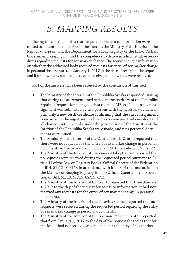## *5. MAPPING RESULTS*

During the drafting of this text, requests for access to information were submitted to all cantonal ministries of the interior, the Ministry of the Interior of the Republika Srpska, and the Department for Public Registry of the Brčko District Government, keeping in mind the competence to decide in administrative procedures regarding requests for sex marker change. The request sought information on whether the addressed body received requests for entry of sex marker change in personal documents from January 1, 2017 to the date of receipt of the request, and if so, how many such requests were received and how they were resolved.

Part of the answers have been received by the conclusion of this text:

- The Ministry of the Interior of the Republika Srpska responded, stating that during the aforementioned period in the territory of the Republika Srpska, a request for change of data (name, JMB, etc.) due to sex reassignment was submitted by two persons with the necessary evidence, primarily a new birth certificate confirming that the sex reassignment is recorded in the registries. Both requests were positively resolved and all changes in the records under the jurisdiction of the Ministry of the Interior of the Republika Srpska were made, and new personal documents were issued.
- The Ministry of the Interior of the Central Bosnia Canton reported that there were no requests for the entry of sex marker change in personal documents in the period from January 1, 2017 to February 25, 2022.
- The Ministry of the Interior of the Zenica-Doboj Canton reported that no requests were received during the requested period pursuant to Article 44 of the Law on Registry Books (Official Gazette of the Federation of BiH, 37/12, 80/14), in accordance with item 8 of the Instruction on the Manner of Keeping Registry Books (Official Gazette of the Federa tion of BiH, 51/13, 55/13, 82/13, 6/15).
- The Ministry of the Interior of Canton 10 reported that from January 1, 2017 to the day of the request for access to information, it had not received any requests for the entry of sex marker change in personal documents.
- The Ministry of the Interior of the Posavina Canton reported that no requests were received during the requested period regarding the entry of sex marker change in personal documents.
- The Ministry of the Interior of the Bosnian-Podrinje Canton reported that from January 1, 2017 to the day of the request for access to information, it had not received any requests for the entry of sex marker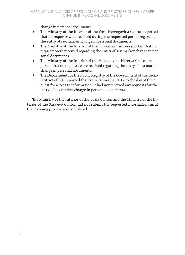change in personal documents.

- The Ministry of the Interior of the West Herzegovina Canton reported that no requests were received during the requested period regarding the entry of sex marker change in personal documents.
- The Ministry of the Interior of the Una-Sana Canton reported that no requests were received regarding the entry of sex marker change in per sonal documents.
- The Ministry of the Interior of the Herzegovina-Neretva Canton reported that no requests were received regarding the entry of sex marker change in personal documents.
- The Department for the Public Registry of the Government of the Brčko District of BiH reported that from January 1, 2017 to the day of the request for access to information, it had not received any requests for the entry of sex marker change in personal documents.

The Ministry of the Interior of the Tuzla Canton and the Ministry of the Interior of the Sarajevo Canton did not submit the requested information until the mapping process was completed.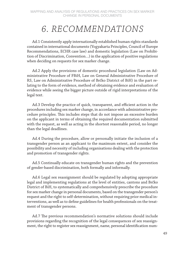## *6. RECOMMENDATIONS*

Ad.1 Consistently apply internationally established human rights standards contained in international documents (Yogyakarta Principles, Council of Europe Recommendations, ECHR case law) and domestic legislation (Law on Prohibition of Discrimination, Convention…) in the application of positive regulations when deciding on requests for sex marker change.

Ad.2 Apply the provisions of domestic procedural legislation (Law on Administrative Procedure of FBiH, Law on General Administrative Procedure of RS, Law on Administrative Procedure of Brčko District of BiH) in the part relating to the form of evidence, method of obtaining evidence and evaluation of evidence while seeing the bigger picture outside of rigid interpretations of the legal text.

Ad.3 Develop the practice of quick, transparent, and efficient action in the procedures including sex marker change, in accordance with administrative procedure principles. This includes steps that do not impose an excessive burden on the applicant in terms of obtaining the required documentation submitted with the request, as well as acting in the shortest reasonable period, no longer than the legal deadlines.

Ad.4 During the procedure, allow or personally initiate the inclusion of a transgender person as an applicant to the maximum extent, and consider the possibility and necessity of including organisations dealing with the protection and promotion of transgender rights.

Ad.5 Continually educate on transgender human rights and the prevention of gender-based discrimination, both formally and informally.

Ad.6 Legal sex reassignment should be regulated by adopting appropriate legal and implementing regulations at the level of entities, cantons and Brčko District of BiH, to systematically and comprehensively prescribe the procedure for sex marker change in personal documents, based on the transgender person's request and the right to self-determination, without requiring prior medical interventions, as well as to define guidelines for health professionals on the treatment of transgender persons.

Ad.7 The previous recommendation's normative solutions should include provisions regarding the recognition of the legal consequences of sex reassignment, the right to register sex reassignment, name, personal identification num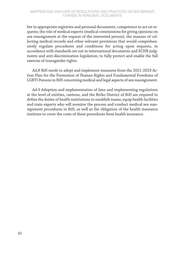ber in appropriate registries and personal documents, competence to act on requests, the role of medical experts (medical commissions for giving opinions on sex reassignment at the request of the interested person), the manner of collecting medical records and other relevant provisions that would comprehensively regulate procedures and conditions for acting upon requests, in accordance with standards set out in international documents and ECHR judgments and anti-discrimination legislation, to fully protect and enable the full exercise of transgender rights.

Ad.8 BiH needs to adopt and implement measures from the 2021-2023 Action Plan for the Promotion of Human Rights and Fundamental Freedoms of LGBTI Persons in BiH concerning medical and legal aspects of sex reassignment.

Ad.9 Adoption and implementation of laws and implementing regulations at the level of entities, cantons, and the Brčko District of BiH are required to define the duties of health institutions to establish teams, equip health facilities and train experts who will monitor the process and conduct medical sex reassignment procedures in BiH, as well as the obligation of the health insurance institute to cover the costs of these procedures from health insurance.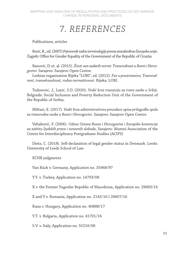## *7. REFERENCES*

Publications, articles

Borić, R., ed. (2007) *Pojmovnik rodne terminologije prema standardima Europske unije*. Zagreb: Office for Gender Equality of the Government of the Republic of Croatia.

Banović, D. et. al. (2015). *Život van zadatih normi: Transrodnost u Bosni i Hercegovini*. Sarajevo: Sarajevo Open Centre.

Lesbian organisation Rijeka "LORI", ed. (2012). *Put u prostranstvo, Transrodnost, transeksualnost, rodna normativnost*. Rijeka: LORI.

Todorović, J., Lazić, S.D. (2020). *Vodič kroz tranziciju za trans osobe u Srbiji*. Belgrade: Social Inclusion and Poverty Reduction Unit of the Government of the Republic of Serbia.

Miftari, E. (2017). *Vodič kroz administrativnu procedure upisa prilagodbe spola za transrodne osobe u Bosni i Hercegovini*. Sarajevo: Sarajevo Open Centre.

Vehabović, F. (2006). *Odnos Ustava Bosne i Hercegovine i Europske konvencije za zaštitu ljudskih prava i osnovnih sloboda*, Sarajevo: Alumni Association of the Centre for Interdisciplinary Postgraduate Studies (ACIPS)

Dietz, C. (2018). Self-declaration of legal gender status in Denmark. Leeds: University of Leeds School of Law.

ECHR judgments

Van Kück v. Germany, Application no. 35968/97

Y.Y. v. Turkey, Application no. 14793/08

X v. the Former Yugoslav Republic of Macedonia, Application no. 29683/16

X and Y v. Romania, Application no. 2145/16 I 20607/16

Rana v. Hungary, Application no. 40888/17

Y.T. v. Bulgaria, Application no. 41701/16

S.V. v. Italy, Application no. 55216/08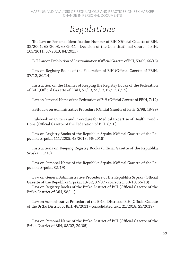## *Regulations*

The Law on Personal Identification Number of BiH (Official Gazette of BiH, 32/2001, 63/2008, 63/2011 - Decision of the Constitutional Court of BiH, 103/2011, 87/2013, 84/2015)

BiH Law on Prohibition of Discrimination (Official Gazette of BiH, 59/09, 66/16)

Law on Registry Books of the Federation of BiH (Official Gazette of FBiH, 37/12, 80/14)

Instruction on the Manner of Keeping the Registry Books of the Federation of BiH (Official Gazette of FBiH, 51/13, 55/13, 82/13, 6/15)

Law on Personal Name of the Federation of BiH (Official Gazette of FBiH, 7/12)

FBiH Law on Administrative Procedure (Official Gazette of FBiH, 2/98, 48/99)

Rulebook on Criteria and Procedure for Medical Expertise of Health Conditions (Official Gazette of the Federation of BiH, 6/10)

Law on Registry Books of the Republika Srpska (Official Gazette of the Republika Srpska, 111/2009, 43/2013, 66/2018)

Instructions on Keeping Registry Books (Official Gazette of the Republika Srpska, 55/10)

Law on Personal Name of the Republika Srpska (Official Gazette of the Republika Srpska, 82/19)

Law on General Administrative Procedure of the Republika Srpska (Official Gazette of the Republika Srpska, 13/02, 87/07 - corrected, 50/10, 66/18)

Law on Registry Books of the Brčko District of BiH (Official Gazette of the Brčko District of BiH, 58/11)

Law on Administrative Procedure of the Brčko District of BiH (Official Gazette of the Brčko District of BiH, 48/2011 - consolidated text, 21/2018, 23/2019)

Law on Personal Name of the Brčko District of BiH (Official Gazette of the Brčko District of BiH, 08/02, 29/05)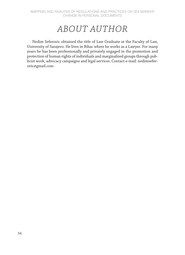## *ABOUT AUTHOR*

Nedim Seferovic obtained the title of Law Graduate at the Faculty of Law, University of Sarajevo. He lives in Bihac where he works as a Lawyer. For many years he has been professionally and privately engaged in the promotion and protection of human rights of individuals and marginalized groups through publicist work, advocacy campaigns and legal services. Contact e-mail: nedimseferovic@gmail.com